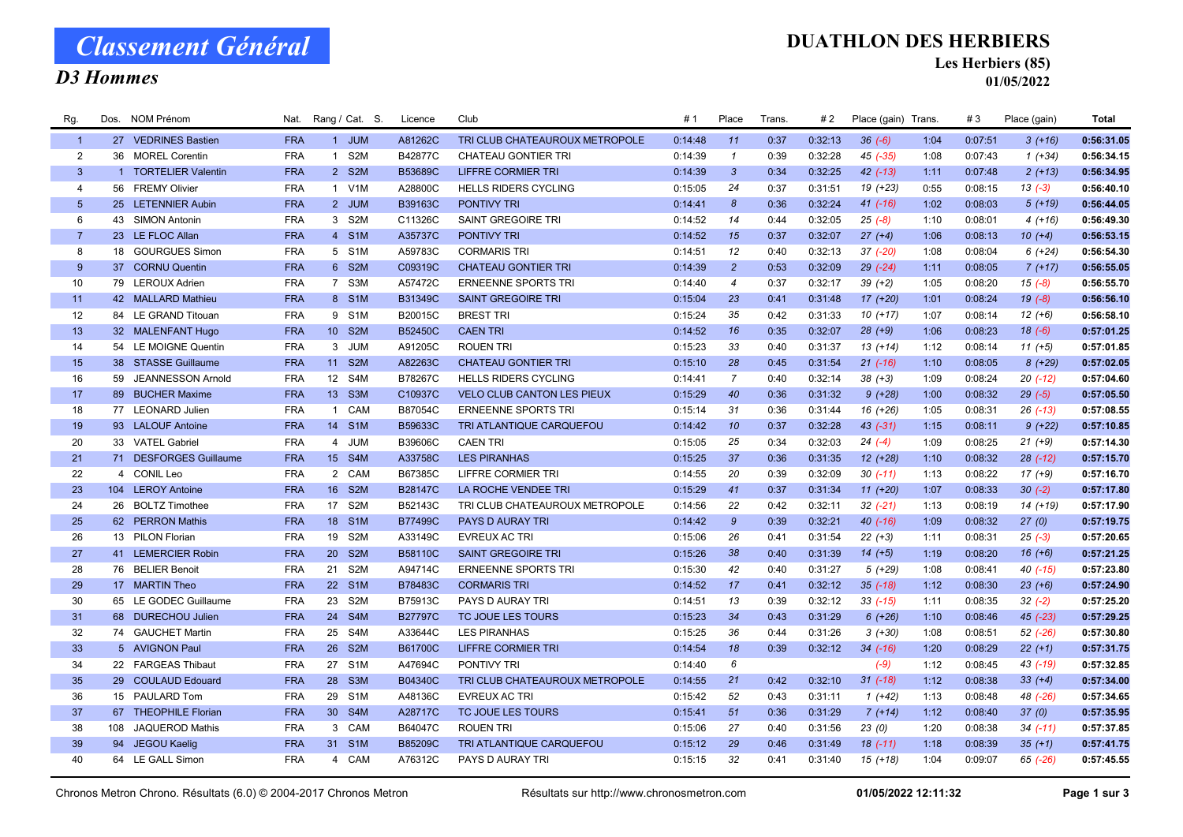# Classement Général

### D3 Hommes

#### DUATHLON DES HERBIERS

Les Herbiers (85)

01/05/2022

| Rg.            |     | Dos. NOM Prénom        | Nat.       | Rang / Cat. S.  |                  | Licence        | Club                              | # 1     | Place          | Trans. | #2      | Place (gain) Trans. |      | #3      | Place (gain)   | Total      |
|----------------|-----|------------------------|------------|-----------------|------------------|----------------|-----------------------------------|---------|----------------|--------|---------|---------------------|------|---------|----------------|------------|
| $\overline{1}$ |     | 27 VEDRINES Bastien    | <b>FRA</b> | 1 JUM           |                  | A81262C        | TRI CLUB CHATEAUROUX METROPOLE    | 0:14:48 | 11             | 0:37   | 0:32:13 | $36(-6)$            | 1:04 | 0:07:51 | $3(+16)$       | 0:56:31.05 |
| 2              |     | 36 MOREL Corentin      | <b>FRA</b> | $\mathbf{1}$    | S <sub>2</sub> M | B42877C        | <b>CHATEAU GONTIER TRI</b>        | 0:14:39 | $\mathbf{1}$   | 0:39   | 0:32:28 | 45 (-35)            | 1:08 | 0:07:43 | $1 (+34)$      | 0:56:34.15 |
| $\mathbf{3}$   |     | 1 TORTELIER Valentin   | <b>FRA</b> | 2 S2M           |                  | B53689C        | <b>LIFFRE CORMIER TRI</b>         | 0:14:39 | $\mathbf{3}$   | 0:34   | 0:32:25 | $42$ $(-13)$        | 1:11 | 0:07:48 | $2(+13)$       | 0:56:34.95 |
| $\overline{4}$ |     | 56 FREMY Olivier       | <b>FRA</b> | 1 V1M           |                  | A28800C        | <b>HELLS RIDERS CYCLING</b>       | 0:15:05 | 24             | 0:37   | 0:31:51 | $19(+23)$           | 0:55 | 0:08:15 | $13(-3)$       | 0:56:40.10 |
| 5 <sup>5</sup> |     | 25 LETENNIER Aubin     | <b>FRA</b> | 2 JUM           |                  | B39163C        | PONTIVY TRI                       | 0:14:41 | 8              | 0:36   | 0:32:24 | $41 (-16)$          | 1:02 | 0:08:03 | $5(+19)$       | 0:56:44.05 |
| 6              |     | 43 SIMON Antonin       | <b>FRA</b> | 3 S2M           |                  | C11326C        | SAINT GREGOIRE TRI                | 0:14:52 | 14             | 0:44   | 0:32:05 | $25(-8)$            | 1:10 | 0:08:01 | $4(+16)$       | 0:56:49.30 |
| $\overline{7}$ |     | 23 LE FLOC Allan       | <b>FRA</b> | 4 S1M           |                  | A35737C        | PONTIVY TRI                       | 0:14:52 | 15             | 0:37   | 0:32:07 | $27 (+4)$           | 1:06 | 0:08:13 | $10(+4)$       | 0:56:53.15 |
| 8              |     | 18 GOURGUES Simon      | <b>FRA</b> | 5 S1M           |                  | A59783C        | <b>CORMARIS TRI</b>               | 0:14:51 | 12             | 0:40   | 0:32:13 | $37 (-20)$          | 1:08 | 0:08:04 | $6 (+24)$      | 0:56:54.30 |
| 9              |     | 37 CORNU Quentin       | <b>FRA</b> | 6 S2M           |                  | C09319C        | <b>CHATEAU GONTIER TRI</b>        | 0:14:39 | $\overline{2}$ | 0:53   | 0:32:09 | $29$ $(-24)$        | 1:11 | 0:08:05 | $7(+17)$       | 0:56:55.05 |
| 10             |     | 79 LEROUX Adrien       | <b>FRA</b> | 7 S3M           |                  | A57472C        | <b>ERNEENNE SPORTS TRI</b>        | 0:14:40 | $\overline{4}$ | 0:37   | 0:32:17 | $39 (+2)$           | 1:05 | 0:08:20 | $15(-8)$       | 0:56:55.70 |
| 11             |     | 42 MALLARD Mathieu     | <b>FRA</b> | 8 S1M           |                  | B31349C        | <b>SAINT GREGOIRE TRI</b>         | 0:15:04 | 23             | 0:41   | 0:31:48 | $17(+20)$           | 1:01 | 0:08:24 | $19(-8)$       | 0:56:56.10 |
| 12             |     | 84 LE GRAND Titouan    | <b>FRA</b> | 9 S1M           |                  | B20015C        | <b>BREST TRI</b>                  | 0:15:24 | 35             | 0:42   | 0:31:33 | $10(+17)$           | 1:07 | 0:08:14 | $12 (+6)$      | 0:56:58.10 |
| 13             |     | 32 MALENFANT Hugo      | <b>FRA</b> | 10 S2M          |                  | B52450C        | <b>CAEN TRI</b>                   | 0:14:52 | 16             | 0:35   | 0:32:07 | $28 (+9)$           | 1:06 | 0:08:23 | $18(-6)$       | 0:57:01.25 |
| 14             |     | 54 LE MOIGNE Quentin   | <b>FRA</b> | 3 JUM           |                  | A91205C        | <b>ROUEN TRI</b>                  | 0:15:23 | 33             | 0:40   | 0:31:37 | $13(+14)$           | 1:12 | 0:08:14 | $11 (+5)$      | 0:57:01.85 |
| 15             |     | 38 STASSE Guillaume    | <b>FRA</b> | 11              | S <sub>2M</sub>  | A82263C        | <b>CHATEAU GONTIER TRI</b>        | 0:15:10 | 28             | 0:45   | 0:31:54 | $21$ (-16)          | 1:10 | 0:08:05 | $8(+29)$       | 0:57:02.05 |
| 16             |     | 59 JEANNESSON Arnold   | <b>FRA</b> | 12 S4M          |                  | B78267C        | <b>HELLS RIDERS CYCLING</b>       | 0:14:41 | $\overline{7}$ | 0:40   | 0:32:14 | $38 (+3)$           | 1:09 | 0:08:24 | $20(-12)$      | 0:57:04.60 |
| 17             |     | 89 BUCHER Maxime       | <b>FRA</b> | 13 <sup>°</sup> | S <sub>3</sub> M | C10937C        | <b>VELO CLUB CANTON LES PIEUX</b> | 0:15:29 | 40             | 0:36   | 0:31:32 | $9(+28)$            | 1:00 | 0:08:32 | $29(-5)$       | 0:57:05.50 |
| 18             |     | 77 LEONARD Julien      | <b>FRA</b> | 1 CAM           |                  | B87054C        | <b>ERNEENNE SPORTS TRI</b>        | 0:15:14 | 31             | 0:36   | 0:31:44 | $16(+26)$           | 1:05 | 0:08:31 | $26$ (-13)     | 0:57:08.55 |
| 19             |     | 93 LALOUF Antoine      | <b>FRA</b> | 14 S1M          |                  | B59633C        | TRI ATLANTIQUE CARQUEFOU          | 0:14:42 | 10             | 0:37   | 0:32:28 | $43$ $(-31)$        | 1:15 | 0:08:11 | $9(+22)$       | 0:57:10.85 |
| 20             |     | 33 VATEL Gabriel       | <b>FRA</b> | 4 JUM           |                  | B39606C        | <b>CAEN TRI</b>                   | 0:15:05 | 25             | 0:34   | 0:32:03 | $24(-4)$            | 1:09 | 0:08:25 | $21 (+9)$      | 0:57:14.30 |
| 21             |     | 71 DESFORGES Guillaume | <b>FRA</b> | 15 S4M          |                  | A33758C        | <b>LES PIRANHAS</b>               | 0:15:25 | 37             | 0:36   | 0:31:35 | $12 (+28)$          | 1:10 | 0:08:32 | $28$ $(-12)$   | 0:57:15.70 |
| 22             |     | 4 CONIL Leo            | <b>FRA</b> | 2 CAM           |                  | B67385C        | <b>LIFFRE CORMIER TRI</b>         | 0:14:55 | 20             | 0:39   | 0:32:09 | $30( -11)$          | 1:13 | 0:08:22 | $17(+9)$       | 0:57:16.70 |
| 23             |     | 104 LEROY Antoine      | <b>FRA</b> | 16 S2M          |                  | <b>B28147C</b> | LA ROCHE VENDEE TRI               | 0:15:29 | 41             | 0:37   | 0:31:34 | $11 (+20)$          | 1:07 | 0:08:33 | $30(-2)$       | 0:57:17.80 |
| 24             |     | 26 BOLTZ Timothee      | <b>FRA</b> | 17 S2M          |                  | B52143C        | TRI CLUB CHATEAUROUX METROPOLE    | 0:14:56 | 22             | 0:42   | 0:32:11 | $32 (-21)$          | 1:13 | 0:08:19 | $14(+19)$      | 0:57:17.90 |
| 25             |     | 62 PERRON Mathis       | <b>FRA</b> | 18              | S <sub>1</sub> M | <b>B77499C</b> | PAYS D AURAY TRI                  | 0:14:42 | $\mathcal{G}$  | 0:39   | 0:32:21 | $40$ $(-16)$        | 1:09 | 0:08:32 | 27(0)          | 0:57:19.75 |
| 26             |     | 13 PILON Florian       | <b>FRA</b> | 19              | S <sub>2</sub> M | A33149C        | <b>EVREUX AC TRI</b>              | 0:15:06 | 26             | 0:41   | 0:31:54 | $22 (+3)$           | 1:11 | 0:08:31 | $25(-3)$       | 0:57:20.65 |
| 27             |     | 41 LEMERCIER Robin     | <b>FRA</b> | 20              | S <sub>2</sub> M | B58110C        | <b>SAINT GREGOIRE TRI</b>         | 0:15:26 | 38             | 0:40   | 0:31:39 | $14(+5)$            | 1:19 | 0:08:20 | $16 (+6)$      | 0:57:21.25 |
| 28             |     | 76 BELIER Benoit       | <b>FRA</b> | 21              | S <sub>2</sub> M | A94714C        | <b>ERNEENNE SPORTS TRI</b>        | 0:15:30 | 42             | 0:40   | 0:31:27 | $5(+29)$            | 1:08 | 0:08:41 | $40$ ( $-15$ ) | 0:57:23.80 |
| 29             |     | 17 MARTIN Theo         | <b>FRA</b> | 22              | S <sub>1</sub> M | B78483C        | <b>CORMARIS TRI</b>               | 0:14:52 | 17             | 0:41   | 0:32:12 | $35(-18)$           | 1:12 | 0:08:30 | $23 (+6)$      | 0:57:24.90 |
| 30             |     | 65 LE GODEC Guillaume  | <b>FRA</b> | 23              | S <sub>2</sub> M | B75913C        | PAYS D AURAY TRI                  | 0:14:51 | 13             | 0:39   | 0:32:12 | $33$ (-15)          | 1:11 | 0:08:35 | $32(-2)$       | 0:57:25.20 |
| 31             |     | 68 DURECHOU Julien     | <b>FRA</b> | 24              | S4M              | <b>B27797C</b> | TC JOUE LES TOURS                 | 0:15:23 | 34             | 0:43   | 0:31:29 | $6 (+26)$           | 1:10 | 0:08:46 | $45$ $(-23)$   | 0:57:29.25 |
| 32             |     | 74 GAUCHET Martin      | <b>FRA</b> | 25              | S4M              | A33644C        | <b>LES PIRANHAS</b>               | 0:15:25 | 36             | 0:44   | 0:31:26 | $3(+30)$            | 1:08 | 0:08:51 | $52$ $(-26)$   | 0:57:30.80 |
| 33             |     | 5 AVIGNON Paul         | <b>FRA</b> | 26              | S <sub>2</sub> M | B61700C        | <b>LIFFRE CORMIER TRI</b>         | 0:14:54 | 18             | 0:39   | 0:32:12 | $34$ $(-16)$        | 1:20 | 0:08:29 | $22 (+1)$      | 0:57:31.75 |
| 34             |     | 22 FARGEAS Thibaut     | <b>FRA</b> | 27              | S <sub>1</sub> M | A47694C        | PONTIVY TRI                       | 0:14:40 | 6              |        |         | $(-9)$              | 1:12 | 0:08:45 | 43 (-19)       | 0:57:32.85 |
| 35             |     | 29 COULAUD Edouard     | <b>FRA</b> | 28              | S <sub>3</sub> M | B04340C        | TRI CLUB CHATEAUROUX METROPOLE    | 0:14:55 | 21             | 0:42   | 0:32:10 | $31 (-18)$          | 1:12 | 0:08:38 | $33 (+4)$      | 0:57:34.00 |
| 36             |     | 15 PAULARD Tom         | <b>FRA</b> | 29              | S <sub>1</sub> M | A48136C        | <b>EVREUX AC TRI</b>              | 0:15:42 | 52             | 0:43   | 0:31:11 | $1(+42)$            | 1:13 | 0:08:48 | 48 (-26)       | 0:57:34.65 |
| 37             |     | 67 THEOPHILE Florian   | <b>FRA</b> | 30 <sup>°</sup> | S4M              | A28717C        | TC JOUE LES TOURS                 | 0:15:41 | 51             | 0:36   | 0:31:29 | $7(+14)$            | 1:12 | 0:08:40 | 37(0)          | 0:57:35.95 |
| 38             | 108 | <b>JAQUEROD Mathis</b> | <b>FRA</b> | 3 CAM           |                  | B64047C        | <b>ROUEN TRI</b>                  | 0:15:06 | 27             | 0:40   | 0:31:56 | 23 (0)              | 1:20 | 0:08:38 | $34(-11)$      | 0:57:37.85 |
| 39             |     | 94 JEGOU Kaelig        | <b>FRA</b> | 31 S1M          |                  | B85209C        | TRI ATLANTIQUE CARQUEFOU          | 0:15:12 | 29             | 0:46   | 0:31:49 | $18(-11)$           | 1:18 | 0:08:39 | $35 (+1)$      | 0:57:41.75 |
| 40             |     | 64 LE GALL Simon       | <b>FRA</b> | 4 CAM           |                  | A76312C        | PAYS D AURAY TRI                  | 0:15:15 | 32             | 0:41   | 0:31:40 | $15(+18)$           | 1:04 | 0:09:07 | $65$ $(-26)$   | 0:57:45.55 |
|                |     |                        |            |                 |                  |                |                                   |         |                |        |         |                     |      |         |                |            |

Chronos Metron Chrono. Résultats (6.0) © 2004-2017 Chronos Metron Résultats sur http://www.chronosmetron.com **01/05/2022 12:11:32** Page 1 sur 3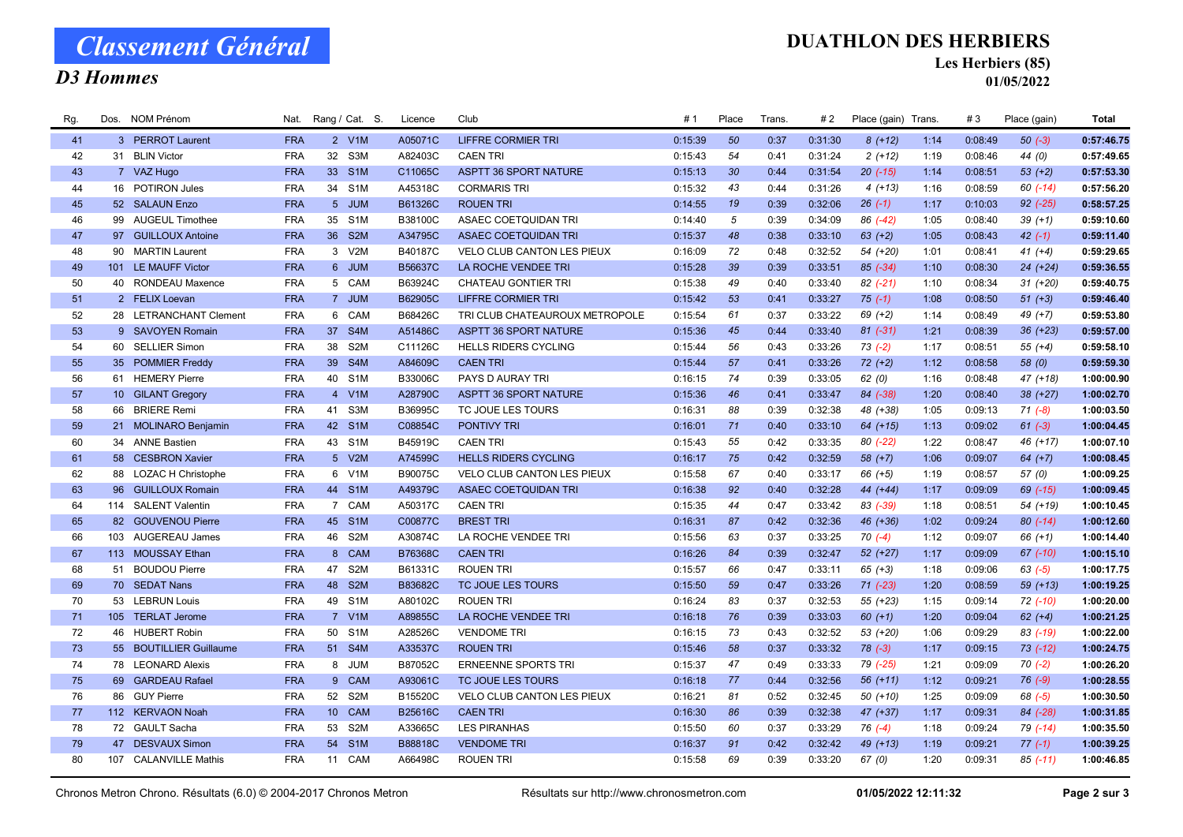# Classement Général

### D3 Hommes

#### DUATHLON DES HERBIERS

Les Herbiers (85)

01/05/2022

| Rg. | Dos. NOM Prénom         | Nat.       |                 | Rang / Cat. S.   | Licence        | Club                              | #1      | Place | Trans. | #2      | Place (gain) Trans. |      | #3      | Place (gain) | Total      |
|-----|-------------------------|------------|-----------------|------------------|----------------|-----------------------------------|---------|-------|--------|---------|---------------------|------|---------|--------------|------------|
| 41  | 3 PERROT Laurent        | <b>FRA</b> |                 | 2 V1M            | A05071C        | <b>LIFFRE CORMIER TRI</b>         | 0:15:39 | 50    | 0:37   | 0:31:30 | $8(+12)$            | 1:14 | 0:08:49 | $50(-3)$     | 0:57:46.75 |
| 42  | 31 BLIN Victor          | <b>FRA</b> | 32 <sup>2</sup> | S3M              | A82403C        | <b>CAEN TRI</b>                   | 0:15:43 | 54    | 0:41   | 0:31:24 | $2(+12)$            | 1:19 | 0:08:46 | 44 (0)       | 0:57:49.65 |
| 43  | 7 VAZ Hugo              | <b>FRA</b> |                 | 33 S1M           | C11065C        | <b>ASPTT 36 SPORT NATURE</b>      | 0:15:13 | 30    | 0:44   | 0:31:54 | $20$ (-15)          | 1:14 | 0:08:51 | $53 (+2)$    | 0:57:53.30 |
| 44  | 16 POTIRON Jules        | <b>FRA</b> | 34              | S <sub>1</sub> M | A45318C        | <b>CORMARIS TRI</b>               | 0:15:32 | 43    | 0:44   | 0:31:26 | $4(+13)$            | 1:16 | 0:08:59 | $60$ (-14)   | 0:57:56.20 |
| 45  | 52 SALAUN Enzo          | <b>FRA</b> |                 | 5 JUM            | B61326C        | <b>ROUEN TRI</b>                  | 0:14:55 | 19    | 0:39   | 0:32:06 | $26(-1)$            | 1:17 | 0:10:03 | $92$ $(-25)$ | 0:58:57.25 |
| 46  | 99 AUGEUL Timothee      | <b>FRA</b> | 35              | S <sub>1</sub> M | B38100C        | ASAEC COETQUIDAN TRI              | 0:14:40 | 5     | 0:39   | 0:34:09 | 86 (-42)            | 1:05 | 0:08:40 | $39 (+1)$    | 0:59:10.60 |
| 47  | 97 GUILLOUX Antoine     | <b>FRA</b> | 36              | S <sub>2</sub> M | A34795C        | <b>ASAEC COETQUIDAN TRI</b>       | 0:15:37 | 48    | 0:38   | 0:33:10 | $63 (+2)$           | 1:05 | 0:08:43 | $42 (-1)$    | 0:59:11.40 |
| 48  | 90 MARTIN Laurent       | <b>FRA</b> |                 | 3 V2M            | B40187C        | VELO CLUB CANTON LES PIEUX        | 0:16:09 | 72    | 0:48   | 0:32:52 | 54 (+20)            | 1:01 | 0:08:41 | $41 (+4)$    | 0:59:29.65 |
| 49  | 101 LE MAUFF Victor     | <b>FRA</b> |                 | 6 JUM            | B56637C        | LA ROCHE VENDEE TRI               | 0:15:28 | 39    | 0:39   | 0:33:51 | $85 (-34)$          | 1:10 | 0:08:30 | $24 (+24)$   | 0:59:36.55 |
| 50  | 40 RONDEAU Maxence      | <b>FRA</b> |                 | 5 CAM            | B63924C        | CHATEAU GONTIER TRI               | 0:15:38 | 49    | 0:40   | 0:33:40 | 82 (-21)            | 1:10 | 0:08:34 | $31 (+20)$   | 0:59:40.75 |
| 51  | 2 FELIX Loevan          | <b>FRA</b> |                 | 7 JUM            | B62905C        | <b>LIFFRE CORMIER TRI</b>         | 0:15:42 | 53    | 0:41   | 0:33:27 | $75(-1)$            | 1:08 | 0:08:50 | $51 (+3)$    | 0:59:46.40 |
| 52  | 28 LETRANCHANT Clement  | <b>FRA</b> |                 | 6 CAM            | B68426C        | TRI CLUB CHATEAUROUX METROPOLE    | 0:15:54 | 61    | 0:37   | 0:33:22 | $69 (+2)$           | 1:14 | 0:08:49 | 49 (+7)      | 0:59:53.80 |
| 53  | 9 SAVOYEN Romain        | <b>FRA</b> | 37              | S4M              | A51486C        | <b>ASPTT 36 SPORT NATURE</b>      | 0:15:36 | 45    | 0:44   | 0:33:40 | $81 (-31)$          | 1:21 | 0:08:39 | $36 (+23)$   | 0:59:57.00 |
| 54  | 60 SELLIER Simon        | <b>FRA</b> | 38              | S <sub>2</sub> M | C11126C        | <b>HELLS RIDERS CYCLING</b>       | 0:15:44 | 56    | 0:43   | 0:33:26 | $73(-2)$            | 1:17 | 0:08:51 | $55(+4)$     | 0:59:58.10 |
| 55  | 35 POMMIER Freddy       | <b>FRA</b> | 39              | S4M              | A84609C        | <b>CAEN TRI</b>                   | 0:15:44 | 57    | 0:41   | 0:33:26 | $72 (+2)$           | 1:12 | 0:08:58 | 58(0)        | 0:59:59.30 |
| 56  | 61 HEMERY Pierre        | <b>FRA</b> |                 | 40 S1M           | B33006C        | PAYS D AURAY TRI                  | 0:16:15 | 74    | 0:39   | 0:33:05 | 62(0)               | 1:16 | 0:08:48 | $47 (+18)$   | 1:00:00.90 |
| 57  | 10 GILANT Gregory       | <b>FRA</b> | $\overline{4}$  | V1M              | A28790C        | <b>ASPTT 36 SPORT NATURE</b>      | 0:15:36 | 46    | 0:41   | 0:33:47 | 84 (-38)            | 1:20 | 0:08:40 | $38 (+27)$   | 1:00:02.70 |
| 58  | 66 BRIERE Remi          | <b>FRA</b> | 41              | S3M              | B36995C        | TC JOUE LES TOURS                 | 0:16:31 | 88    | 0:39   | 0:32:38 | 48 (+38)            | 1:05 | 0:09:13 | $71 (-8)$    | 1:00:03.50 |
| 59  | 21 MOLINARO Benjamin    | <b>FRA</b> |                 | 42 S1M           | C08854C        | <b>PONTIVY TRI</b>                | 0:16:01 | 71    | 0:40   | 0:33:10 | $64 (+15)$          | 1:13 | 0:09:02 | $61 (-3)$    | 1:00:04.45 |
| 60  | 34 ANNE Bastien         | <b>FRA</b> |                 | 43 S1M           | B45919C        | <b>CAEN TRI</b>                   | 0:15:43 | 55    | 0:42   | 0:33:35 | 80 (-22)            | 1:22 | 0:08:47 | 46 (+17)     | 1:00:07.10 |
| 61  | 58 CESBRON Xavier       | <b>FRA</b> |                 | 5 V2M            | A74599C        | <b>HELLS RIDERS CYCLING</b>       | 0:16:17 | 75    | 0:42   | 0:32:59 | $58(+7)$            | 1:06 | 0:09:07 | $64 (+7)$    | 1:00:08.45 |
| 62  | 88 LOZAC H Christophe   | <b>FRA</b> |                 | 6 V1M            | B90075C        | <b>VELO CLUB CANTON LES PIEUX</b> | 0:15:58 | 67    | 0:40   | 0:33:17 | $66 (+5)$           | 1:19 | 0:08:57 | 57(0)        | 1:00:09.25 |
| 63  | 96 GUILLOUX Romain      | <b>FRA</b> |                 | 44 S1M           | A49379C        | <b>ASAEC COETQUIDAN TRI</b>       | 0:16:38 | 92    | 0:40   | 0:32:28 | 44 (+44)            | 1:17 | 0:09:09 | 69 (-15)     | 1:00:09.45 |
| 64  | 114 SALENT Valentin     | <b>FRA</b> |                 | 7 CAM            | A50317C        | <b>CAEN TRI</b>                   | 0:15:35 | 44    | 0:47   | 0:33:42 | 83 (-39)            | 1:18 | 0:08:51 | 54 (+19)     | 1:00:10.45 |
| 65  | 82 GOUVENOU Pierre      | <b>FRA</b> | 45              | S <sub>1</sub> M | C00877C        | <b>BREST TRI</b>                  | 0:16:31 | 87    | 0:42   | 0:32:36 | 46 (+36)            | 1:02 | 0:09:24 | $80(-14)$    | 1:00:12.60 |
| 66  | 103 AUGEREAU James      | <b>FRA</b> | 46              | S <sub>2</sub> M | A30874C        | LA ROCHE VENDEE TRI               | 0:15:56 | 63    | 0:37   | 0:33:25 | $70( -4)$           | 1:12 | 0:09:07 | $66 (+1)$    | 1:00:14.40 |
| 67  | 113 MOUSSAY Ethan       | <b>FRA</b> | 8               | <b>CAM</b>       | <b>B76368C</b> | <b>CAEN TRI</b>                   | 0:16:26 | 84    | 0:39   | 0:32:47 | 52 (+27)            | 1:17 | 0:09:09 | $67$ $(-10)$ | 1:00:15.10 |
| 68  | 51 BOUDOU Pierre        | <b>FRA</b> | 47              | S <sub>2</sub> M | B61331C        | <b>ROUEN TRI</b>                  | 0:15:57 | 66    | 0:47   | 0:33:11 | $65 (+3)$           | 1:18 | 0:09:06 | $63 (-5)$    | 1:00:17.75 |
| 69  | 70 SEDAT Nans           | <b>FRA</b> | 48              | S <sub>2</sub> M | B83682C        | TC JOUE LES TOURS                 | 0:15:50 | 59    | 0:47   | 0:33:26 | $71$ $(-23)$        | 1:20 | 0:08:59 | $59(+13)$    | 1:00:19.25 |
| 70  | 53 LEBRUN Louis         | <b>FRA</b> | 49              | S <sub>1</sub> M | A80102C        | <b>ROUEN TRI</b>                  | 0:16:24 | 83    | 0:37   | 0:32:53 | 55 (+23)            | 1:15 | 0:09:14 | 72 (-10)     | 1:00:20.00 |
| 71  | 105 TERLAT Jerome       | <b>FRA</b> |                 | 7 V1M            | A89855C        | LA ROCHE VENDEE TRI               | 0:16:18 | 76    | 0:39   | 0:33:03 | $60 (+1)$           | 1:20 | 0:09:04 | $62 (+4)$    | 1:00:21.25 |
| 72  | 46 HUBERT Robin         | <b>FRA</b> | 50              | S <sub>1</sub> M | A28526C        | <b>VENDOME TRI</b>                | 0:16:15 | 73    | 0:43   | 0:32:52 | 53 (+20)            | 1:06 | 0:09:29 | $83$ (-19)   | 1:00:22.00 |
| 73  | 55 BOUTILLIER Guillaume | <b>FRA</b> |                 | 51 S4M           | A33537C        | <b>ROUEN TRI</b>                  | 0:15:46 | 58    | 0:37   | 0:33:32 | $78(-3)$            | 1:17 | 0:09:15 | $73$ $(-12)$ | 1:00:24.75 |
| 74  | 78 LEONARD Alexis       | <b>FRA</b> |                 | 8 JUM            | B87052C        | <b>ERNEENNE SPORTS TRI</b>        | 0:15:37 | 47    | 0:49   | 0:33:33 | 79 (-25)            | 1:21 | 0:09:09 | $70(-2)$     | 1:00:26.20 |
| 75  | 69 GARDEAU Rafael       | <b>FRA</b> | $9^{\circ}$     | CAM              | A93061C        | TC JOUE LES TOURS                 | 0:16:18 | 77    | 0:44   | 0:32:56 | 56 (+11)            | 1:12 | 0:09:21 | $76(-9)$     | 1:00:28.55 |
| 76  | 86 GUY Pierre           | <b>FRA</b> | 52              | S <sub>2</sub> M | B15520C        | VELO CLUB CANTON LES PIEUX        | 0:16:21 | 81    | 0:52   | 0:32:45 | $50(+10)$           | 1:25 | 0:09:09 | $68 (-5)$    | 1:00:30.50 |
| 77  | 112 KERVAON Noah        | <b>FRA</b> | 10 <sup>1</sup> | <b>CAM</b>       | B25616C        | <b>CAEN TRI</b>                   | 0:16:30 | 86    | 0:39   | 0:32:38 | 47 (+37)            | 1:17 | 0:09:31 | 84 (-28)     | 1:00:31.85 |
| 78  | 72 GAULT Sacha          | <b>FRA</b> | 53              | S <sub>2</sub> M | A33665C        | <b>LES PIRANHAS</b>               | 0:15:50 | 60    | 0:37   | 0:33:29 | $76(-4)$            | 1:18 | 0:09:24 | 79 (-14)     | 1:00:35.50 |
| 79  | 47 DESVAUX Simon        | <b>FRA</b> | 54              | S <sub>1</sub> M | B88818C        | <b>VENDOME TRI</b>                | 0:16:37 | 91    | 0:42   | 0:32:42 | 49 (+13)            | 1:19 | 0:09:21 | $77(-1)$     | 1:00:39.25 |
| 80  | 107 CALANVILLE Mathis   | <b>FRA</b> |                 | 11 CAM           | A66498C        | <b>ROUEN TRI</b>                  | 0:15:58 | 69    | 0:39   | 0:33:20 | 67 (0)              | 1:20 | 0:09:31 | $85$ (-11)   | 1:00:46.85 |
|     |                         |            |                 |                  |                |                                   |         |       |        |         |                     |      |         |              |            |